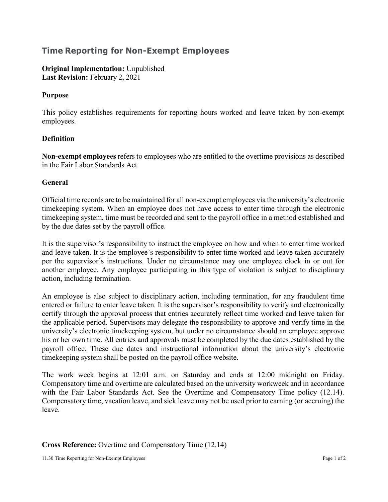# **Time Reporting for Non-Exempt Employees**

**Original Implementation:** Unpublished Last Revision: February 2, 2021

#### **Purpose**

This policy establishes requirements for reporting hours worked and leave taken by non-exempt employees.

## **Definition**

**Non-exempt employees** refers to employees who are entitled to the overtime provisions as described in the Fair Labor Standards Act.

#### **General**

Official time records are to be maintained for all non-exempt employees via the university's electronic timekeeping system. When an employee does not have access to enter time through the electronic timekeeping system, time must be recorded and sent to the payroll office in a method established and by the due dates set by the payroll office.

It is the supervisor's responsibility to instruct the employee on how and when to enter time worked and leave taken. It is the employee's responsibility to enter time worked and leave taken accurately per the supervisor's instructions. Under no circumstance may one employee clock in or out for another employee. Any employee participating in this type of violation is subject to disciplinary action, including termination.

An employee is also subject to disciplinary action, including termination, for any fraudulent time entered or failure to enter leave taken. It is the supervisor's responsibility to verify and electronically certify through the approval process that entries accurately reflect time worked and leave taken for the applicable period. Supervisors may delegate the responsibility to approve and verify time in the university's electronic timekeeping system, but under no circumstance should an employee approve his or her own time. All entries and approvals must be completed by the due dates established by the payroll office. These due dates and instructional information about the university's electronic timekeeping system shall be posted on the [payroll office](http://www.sfasu.edu/controller/payroll/index.asp) [website.](http://www.sfasu.edu/controller/payroll/index.asp)

The work week begins at 12:01 a.m. on Saturday and ends at 12:00 midnight on Friday. Compensatory time and overtime are calculated based on the university workweek and in accordance with the Fair Labor Standards Act. See the Overtime and Compensatory Time policy (12.14). Compensatory time, vacation leave, and sick leave may not be used prior to earning (or accruing) the leave.

## **Cross Reference:** Overtime and Compensatory Time (12.14)